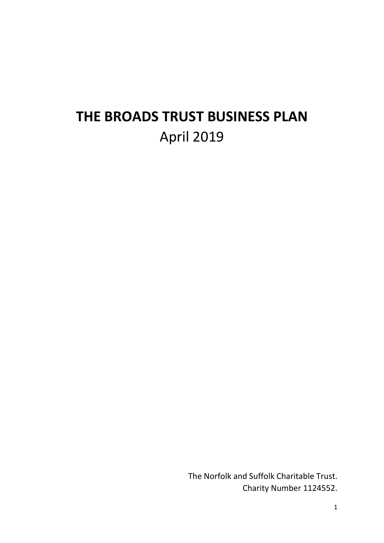# **THE BROADS TRUST BUSINESS PLAN** April 2019

The Norfolk and Suffolk Charitable Trust. Charity Number 1124552.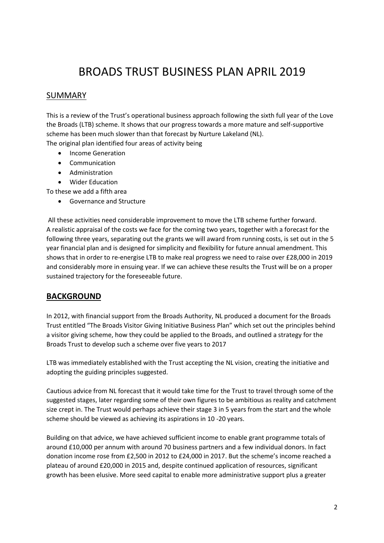## BROADS TRUST BUSINESS PLAN APRIL 2019

#### SUMMARY

This is a review of the Trust's operational business approach following the sixth full year of the Love the Broads (LTB) scheme. It shows that our progress towards a more mature and self-supportive scheme has been much slower than that forecast by Nurture Lakeland (NL). The original plan identified four areas of activity being

- Income Generation
- Communication
- Administration
- Wider Education

To these we add a fifth area

Governance and Structure

All these activities need considerable improvement to move the LTB scheme further forward. A realistic appraisal of the costs we face for the coming two years, together with a forecast for the following three years, separating out the grants we will award from running costs, is set out in the 5 year financial plan and is designed for simplicity and flexibility for future annual amendment. This shows that in order to re-energise LTB to make real progress we need to raise over £28,000 in 2019 and considerably more in ensuing year. If we can achieve these results the Trust will be on a proper sustained trajectory for the foreseeable future.

#### **BACKGROUND**

In 2012, with financial support from the Broads Authority, NL produced a document for the Broads Trust entitled "The Broads Visitor Giving Initiative Business Plan" which set out the principles behind a visitor giving scheme, how they could be applied to the Broads, and outlined a strategy for the Broads Trust to develop such a scheme over five years to 2017

LTB was immediately established with the Trust accepting the NL vision, creating the initiative and adopting the guiding principles suggested.

Cautious advice from NL forecast that it would take time for the Trust to travel through some of the suggested stages, later regarding some of their own figures to be ambitious as reality and catchment size crept in. The Trust would perhaps achieve their stage 3 in 5 years from the start and the whole scheme should be viewed as achieving its aspirations in 10 -20 years.

Building on that advice, we have achieved sufficient income to enable grant programme totals of around £10,000 per annum with around 70 business partners and a few individual donors. In fact donation income rose from £2,500 in 2012 to £24,000 in 2017. But the scheme's income reached a plateau of around £20,000 in 2015 and, despite continued application of resources, significant growth has been elusive. More seed capital to enable more administrative support plus a greater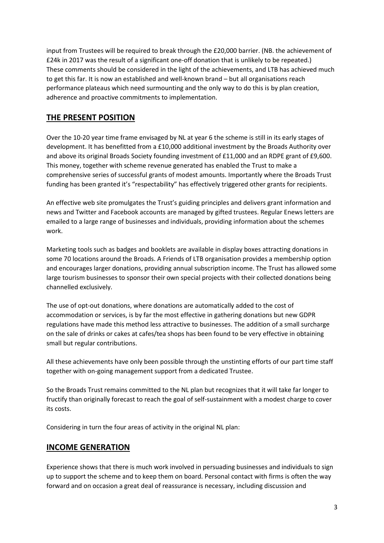input from Trustees will be required to break through the £20,000 barrier. (NB. the achievement of £24k in 2017 was the result of a significant one-off donation that is unlikely to be repeated.) These comments should be considered in the light of the achievements, and LTB has achieved much to get this far. It is now an established and well-known brand – but all organisations reach performance plateaus which need surmounting and the only way to do this is by plan creation, adherence and proactive commitments to implementation.

#### **THE PRESENT POSITION**

Over the 10-20 year time frame envisaged by NL at year 6 the scheme is still in its early stages of development. It has benefitted from a £10,000 additional investment by the Broads Authority over and above its original Broads Society founding investment of £11,000 and an RDPE grant of £9,600. This money, together with scheme revenue generated has enabled the Trust to make a comprehensive series of successful grants of modest amounts. Importantly where the Broads Trust funding has been granted it's "respectability" has effectively triggered other grants for recipients.

An effective web site promulgates the Trust's guiding principles and delivers grant information and news and Twitter and Facebook accounts are managed by gifted trustees. Regular Enews letters are emailed to a large range of businesses and individuals, providing information about the schemes work.

Marketing tools such as badges and booklets are available in display boxes attracting donations in some 70 locations around the Broads. A Friends of LTB organisation provides a membership option and encourages larger donations, providing annual subscription income. The Trust has allowed some large tourism businesses to sponsor their own special projects with their collected donations being channelled exclusively.

The use of opt-out donations, where donations are automatically added to the cost of accommodation or services, is by far the most effective in gathering donations but new GDPR regulations have made this method less attractive to businesses. The addition of a small surcharge on the sale of drinks or cakes at cafes/tea shops has been found to be very effective in obtaining small but regular contributions.

All these achievements have only been possible through the unstinting efforts of our part time staff together with on-going management support from a dedicated Trustee.

So the Broads Trust remains committed to the NL plan but recognizes that it will take far longer to fructify than originally forecast to reach the goal of self-sustainment with a modest charge to cover its costs.

Considering in turn the four areas of activity in the original NL plan:

#### **INCOME GENERATION**

Experience shows that there is much work involved in persuading businesses and individuals to sign up to support the scheme and to keep them on board. Personal contact with firms is often the way forward and on occasion a great deal of reassurance is necessary, including discussion and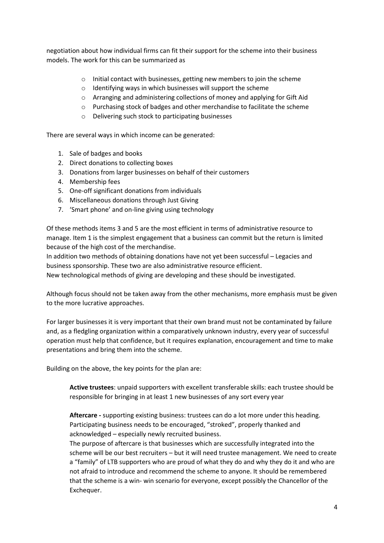negotiation about how individual firms can fit their support for the scheme into their business models. The work for this can be summarized as

- o Initial contact with businesses, getting new members to join the scheme
- o Identifying ways in which businesses will support the scheme
- o Arranging and administering collections of money and applying for Gift Aid
- o Purchasing stock of badges and other merchandise to facilitate the scheme
- o Delivering such stock to participating businesses

There are several ways in which income can be generated:

- 1. Sale of badges and books
- 2. Direct donations to collecting boxes
- 3. Donations from larger businesses on behalf of their customers
- 4. Membership fees
- 5. One-off significant donations from individuals
- 6. Miscellaneous donations through Just Giving
- 7. 'Smart phone' and on-line giving using technology

Of these methods items 3 and 5 are the most efficient in terms of administrative resource to manage. Item 1 is the simplest engagement that a business can commit but the return is limited because of the high cost of the merchandise.

In addition two methods of obtaining donations have not yet been successful – Legacies and business sponsorship. These two are also administrative resource efficient.

New technological methods of giving are developing and these should be investigated.

Although focus should not be taken away from the other mechanisms, more emphasis must be given to the more lucrative approaches.

For larger businesses it is very important that their own brand must not be contaminated by failure and, as a fledgling organization within a comparatively unknown industry, every year of successful operation must help that confidence, but it requires explanation, encouragement and time to make presentations and bring them into the scheme.

Building on the above, the key points for the plan are:

**Active trustees**: unpaid supporters with excellent transferable skills: each trustee should be responsible for bringing in at least 1 new businesses of any sort every year

**Aftercare -** supporting existing business: trustees can do a lot more under this heading. Participating business needs to be encouraged, "stroked", properly thanked and acknowledged – especially newly recruited business.

The purpose of aftercare is that businesses which are successfully integrated into the scheme will be our best recruiters – but it will need trustee management. We need to create a "family" of LTB supporters who are proud of what they do and why they do it and who are not afraid to introduce and recommend the scheme to anyone. It should be remembered that the scheme is a win- win scenario for everyone, except possibly the Chancellor of the Exchequer.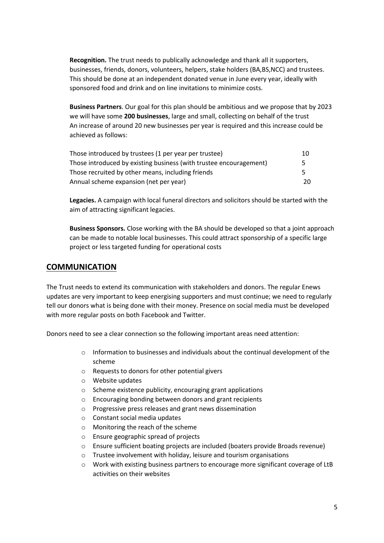**Recognition.** The trust needs to publically acknowledge and thank all it supporters, businesses, friends, donors, volunteers, helpers, stake holders (BA,BS,NCC) and trustees. This should be done at an independent donated venue in June every year, ideally with sponsored food and drink and on line invitations to minimize costs.

**Business Partners**. Our goal for this plan should be ambitious and we propose that by 2023 we will have some **200 businesses**, large and small, collecting on behalf of the trust An increase of around 20 new businesses per year is required and this increase could be achieved as follows:

| Those introduced by trustees (1 per year per trustee)              | 10  |
|--------------------------------------------------------------------|-----|
| Those introduced by existing business (with trustee encouragement) | 5   |
| Those recruited by other means, including friends                  | 5   |
| Annual scheme expansion (net per year)                             | 20. |

**Legacies.** A campaign with local funeral directors and solicitors should be started with the aim of attracting significant legacies.

**Business Sponsors.** Close working with the BA should be developed so that a joint approach can be made to notable local businesses. This could attract sponsorship of a specific large project or less targeted funding for operational costs

#### **COMMUNICATION**

The Trust needs to extend its communication with stakeholders and donors. The regular Enews updates are very important to keep energising supporters and must continue; we need to regularly tell our donors what is being done with their money. Presence on social media must be developed with more regular posts on both Facebook and Twitter.

Donors need to see a clear connection so the following important areas need attention:

- $\circ$  Information to businesses and individuals about the continual development of the scheme
- o Requests to donors for other potential givers
- o Website updates
- o Scheme existence publicity, encouraging grant applications
- o Encouraging bonding between donors and grant recipients
- o Progressive press releases and grant news dissemination
- o Constant social media updates
- o Monitoring the reach of the scheme
- o Ensure geographic spread of projects
- o Ensure sufficient boating projects are included (boaters provide Broads revenue)
- o Trustee involvement with holiday, leisure and tourism organisations
- $\circ$  Work with existing business partners to encourage more significant coverage of LtB activities on their websites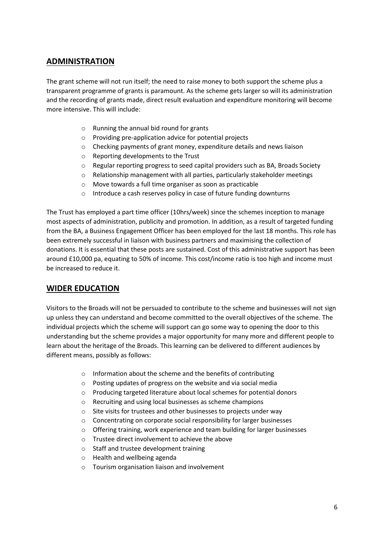#### **ADMINISTRATION**

The grant scheme will not run itself; the need to raise money to both support the scheme plus a transparent programme of grants is paramount. As the scheme gets larger so will its administration and the recording of grants made, direct result evaluation and expenditure monitoring will become more intensive. This will include:

- o Running the annual bid round for grants
- o Providing pre-application advice for potential projects
- o Checking payments of grant money, expenditure details and news liaison
- o Reporting developments to the Trust
- o Regular reporting progress to seed capital providers such as BA, Broads Society
- o Relationship management with all parties, particularly stakeholder meetings
- o Move towards a full time organiser as soon as practicable
- o Introduce a cash reserves policy in case of future funding downturns

The Trust has employed a part time officer (10hrs/week) since the schemes inception to manage most aspects of administration, publicity and promotion. In addition, as a result of targeted funding from the BA, a Business Engagement Officer has been employed for the last 18 months. This role has been extremely successful in liaison with business partners and maximising the collection of donations. It is essential that these posts are sustained. Cost of this administrative support has been around £10,000 pa, equating to 50% of income. This cost/income ratio is too high and income must be increased to reduce it.

#### **WIDER EDUCATION**

Visitors to the Broads will not be persuaded to contribute to the scheme and businesses will not sign up unless they can understand and become committed to the overall objectives of the scheme. The individual projects which the scheme will support can go some way to opening the door to this understanding but the scheme provides a major opportunity for many more and different people to learn about the heritage of the Broads. This learning can be delivered to different audiences by different means, possibly as follows:

- o Information about the scheme and the benefits of contributing
- o Posting updates of progress on the website and via social media
- o Producing targeted literature about local schemes for potential donors
- o Recruiting and using local businesses as scheme champions
- o Site visits for trustees and other businesses to projects under way
- o Concentrating on corporate social responsibility for larger businesses
- o Offering training, work experience and team building for larger businesses
- o Trustee direct involvement to achieve the above
- o Staff and trustee development training
- o Health and wellbeing agenda
- o Tourism organisation liaison and involvement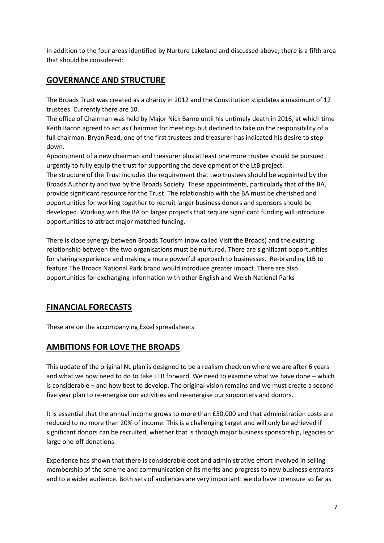In addition to the four areas identified by Nurture Lakeland and discussed above, there is a fifth area that should be considered:

#### **GOVERNANCE AND STRUCTURE**

The Broads Trust was created as a charity in 2012 and the Constitution stipulates a maximum of 12 trustees. Currently there are 10.

The office of Chairman was held by Major Nick Barne until his untimely death in 2016, at which time Keith Bacon agreed to act as Chairman for meetings but declined to take on the responsibility of a full chairman. Bryan Read, one of the first trustees and treasurer has indicated his desire to step down.

Appointment of a new chairman and treasurer plus at least one more trustee should be pursued urgently to fully equip the trust for supporting the development of the LtB project.

The structure of the Trust includes the requirement that two trustees should be appointed by the Broads Authority and two by the Broads Society. These appointments, particularly that of the BA, provide significant resource for the Trust. The relationship with the BA must be cherished and opportunities for working together to recruit larger business donors and sponsors should be developed. Working with the BA on larger projects that require significant funding will introduce opportunities to attract major matched funding.

There is close synergy between Broads Tourism (now called Visit the Broads) and the existing relationship between the two organisations must be nurtured. There are significant opportunities for sharing experience and making a more powerful approach to businesses. Re-branding LtB to feature The Broads National Park brand would introduce greater impact. There are also opportunities for exchanging information with other English and Welsh National Parks

### **FINANCIAL FORECASTS**

These are on the accompanying Excel spreadsheets

#### **AMBITIONS FOR LOVE THE BROADS**

This update of the original NL plan is designed to be a realism check on where we are after 6 years and what we now need to do to take LTB forward. We need to examine what we have done – which is considerable – and how best to develop. The original vision remains and we must create a second five year plan to re-energise our activities and re-energise our supporters and donors.

It is essential that the annual income grows to more than £50,000 and that administration costs are reduced to no more than 20% of income. This is a challenging target and will only be achieved if significant donors can be recruited, whether that is through major business sponsorship, legacies or large one-off donations.

Experience has shown that there is considerable cost and administrative effort involved in selling membership of the scheme and communication of its merits and progress to new business entrants and to a wider audience. Both sets of audiences are very important: we do have to ensure so far as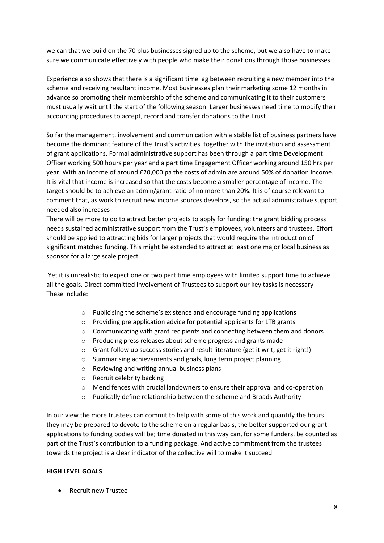we can that we build on the 70 plus businesses signed up to the scheme, but we also have to make sure we communicate effectively with people who make their donations through those businesses.

Experience also shows that there is a significant time lag between recruiting a new member into the scheme and receiving resultant income. Most businesses plan their marketing some 12 months in advance so promoting their membership of the scheme and communicating it to their customers must usually wait until the start of the following season. Larger businesses need time to modify their accounting procedures to accept, record and transfer donations to the Trust

So far the management, involvement and communication with a stable list of business partners have become the dominant feature of the Trust's activities, together with the invitation and assessment of grant applications. Formal administrative support has been through a part time Development Officer working 500 hours per year and a part time Engagement Officer working around 150 hrs per year. With an income of around £20,000 pa the costs of admin are around 50% of donation income. It is vital that income is increased so that the costs become a smaller percentage of income. The target should be to achieve an admin/grant ratio of no more than 20%. It is of course relevant to comment that, as work to recruit new income sources develops, so the actual administrative support needed also increases!

There will be more to do to attract better projects to apply for funding; the grant bidding process needs sustained administrative support from the Trust's employees, volunteers and trustees. Effort should be applied to attracting bids for larger projects that would require the introduction of significant matched funding. This might be extended to attract at least one major local business as sponsor for a large scale project.

Yet it is unrealistic to expect one or two part time employees with limited support time to achieve all the goals. Direct committed involvement of Trustees to support our key tasks is necessary These include:

- o Publicising the scheme's existence and encourage funding applications
- o Providing pre application advice for potential applicants for LTB grants
- $\circ$  Communicating with grant recipients and connecting between them and donors
- o Producing press releases about scheme progress and grants made
- o Grant follow up success stories and result literature (get it writ, get it right!)
- o Summarising achievements and goals, long term project planning
- o Reviewing and writing annual business plans
- o Recruit celebrity backing
- o Mend fences with crucial landowners to ensure their approval and co-operation
- o Publically define relationship between the scheme and Broads Authority

In our view the more trustees can commit to help with some of this work and quantify the hours they may be prepared to devote to the scheme on a regular basis, the better supported our grant applications to funding bodies will be; time donated in this way can, for some funders, be counted as part of the Trust's contribution to a funding package. And active commitment from the trustees towards the project is a clear indicator of the collective will to make it succeed

#### **HIGH LEVEL GOALS**

Recruit new Trustee